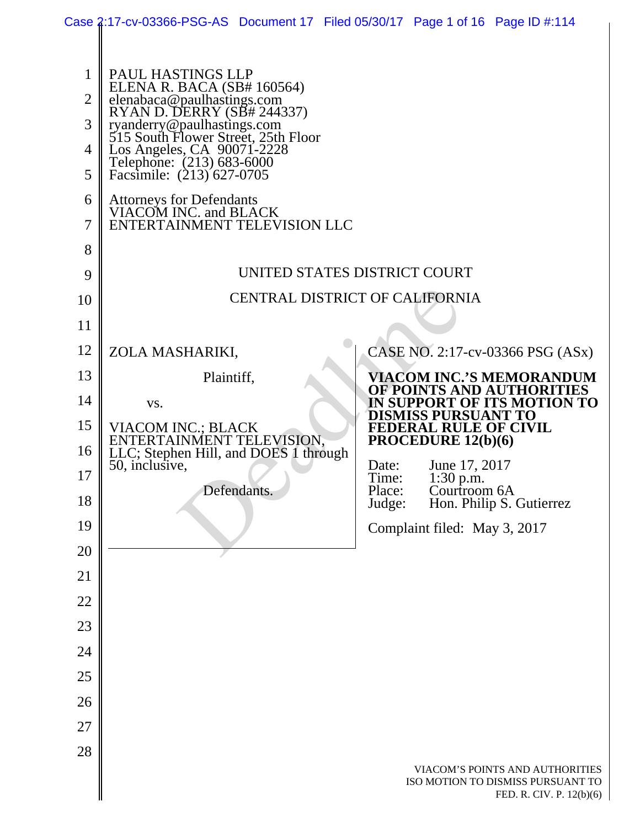|                                 | Case 2:17-cv-03366-PSG-AS Document 17 Filed 05/30/17 Page 1 of 16 Page ID #:114                                                                                                                                                                                                                                                                               |             |  |                 |                                                            |                                                                                                  |
|---------------------------------|---------------------------------------------------------------------------------------------------------------------------------------------------------------------------------------------------------------------------------------------------------------------------------------------------------------------------------------------------------------|-------------|--|-----------------|------------------------------------------------------------|--------------------------------------------------------------------------------------------------|
| 1<br>2<br>3<br>4<br>5<br>6<br>7 | PAUL HASTINGS LLP<br>ELENA R. BACA (SB# 160564)<br>elenabaca@paulhastings.com<br>RYAN D. DERRY (SB# 244337)<br>ryanderry@paulhastings.com<br>515 South Flower Street, 25th Floor<br>Los Angeles, CA 90071-2228<br>Telephone: (213) 683-6000<br>Facsimile: (213) 627-0705<br>Attorneys for Defendants<br>VIACOM INC. and BLACK<br>ENTERTAINMENT TELEVISION LLC |             |  |                 |                                                            |                                                                                                  |
| 8<br>9                          |                                                                                                                                                                                                                                                                                                                                                               |             |  |                 |                                                            |                                                                                                  |
| 10                              | UNITED STATES DISTRICT COURT<br><b>CENTRAL DISTRICT OF CALIFORNIA</b>                                                                                                                                                                                                                                                                                         |             |  |                 |                                                            |                                                                                                  |
| 11                              |                                                                                                                                                                                                                                                                                                                                                               |             |  |                 |                                                            |                                                                                                  |
| 12                              | ZOLA MASHARIKI,                                                                                                                                                                                                                                                                                                                                               |             |  |                 |                                                            | CASE NO. 2:17-cv-03366 PSG (ASx)                                                                 |
| 13                              | Plaintiff,                                                                                                                                                                                                                                                                                                                                                    |             |  |                 |                                                            | <b>VIACOM INC.'S MEMORANDUM</b>                                                                  |
| 14                              | VS.                                                                                                                                                                                                                                                                                                                                                           |             |  |                 |                                                            | OF POINTS AND AUTHORITIES<br>IN SUPPORT OF ITS MOTION TO                                         |
| 15                              | VIACOM INC.; BLACK                                                                                                                                                                                                                                                                                                                                            |             |  |                 | <b>DISMISS PURSUANT TO</b><br><b>FEDERAL RULE OF CIVIL</b> |                                                                                                  |
| 16                              | ENTERTAINMENT TELEVISION.<br>LLC; Stephen Hill, and DOES 1 through<br>50, inclusive,                                                                                                                                                                                                                                                                          |             |  | Date:           | PROCEDURE 12(b)(6)<br>June 17, 2017                        |                                                                                                  |
| 17                              |                                                                                                                                                                                                                                                                                                                                                               | Defendants. |  | Time:<br>Place: | 1:30 p.m.<br>Courtroom 6A                                  |                                                                                                  |
| 18                              |                                                                                                                                                                                                                                                                                                                                                               |             |  | Judge:          |                                                            | Hon. Philip S. Gutierrez                                                                         |
| 19                              |                                                                                                                                                                                                                                                                                                                                                               |             |  |                 | Complaint filed: May 3, 2017                               |                                                                                                  |
| 20<br>21                        |                                                                                                                                                                                                                                                                                                                                                               |             |  |                 |                                                            |                                                                                                  |
| 22                              |                                                                                                                                                                                                                                                                                                                                                               |             |  |                 |                                                            |                                                                                                  |
| 23                              |                                                                                                                                                                                                                                                                                                                                                               |             |  |                 |                                                            |                                                                                                  |
| 24                              |                                                                                                                                                                                                                                                                                                                                                               |             |  |                 |                                                            |                                                                                                  |
| 25                              |                                                                                                                                                                                                                                                                                                                                                               |             |  |                 |                                                            |                                                                                                  |
| 26                              |                                                                                                                                                                                                                                                                                                                                                               |             |  |                 |                                                            |                                                                                                  |
| $27\,$                          |                                                                                                                                                                                                                                                                                                                                                               |             |  |                 |                                                            |                                                                                                  |
| 28                              |                                                                                                                                                                                                                                                                                                                                                               |             |  |                 |                                                            |                                                                                                  |
|                                 |                                                                                                                                                                                                                                                                                                                                                               |             |  |                 |                                                            | VIACOM'S POINTS AND AUTHORITIES<br>ISO MOTION TO DISMISS PURSUANT TO<br>FED. R. CIV. P. 12(b)(6) |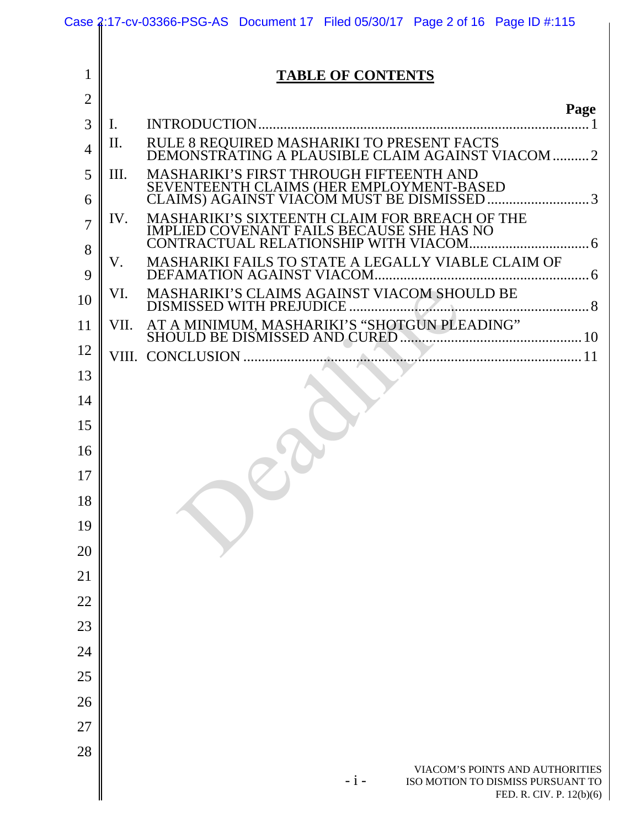|                |                | Case 2:17-cv-03366-PSG-AS Document 17 Filed 05/30/17 Page 2 of 16 Page ID #:115                           |
|----------------|----------------|-----------------------------------------------------------------------------------------------------------|
|                |                |                                                                                                           |
| 1              |                | <b>TABLE OF CONTENTS</b>                                                                                  |
| $\overline{2}$ |                | Page                                                                                                      |
| 3              | $\mathbf{I}$ . |                                                                                                           |
| 4              | Π.             | RULE 8 REQUIRED MASHARIKI TO PRESENT FACTS<br>DEMONSTRATING A PLAUSIBLE CLAIM AGAINST VIACOM 2            |
| 5              | Ш.             | MASHARIKI'S FIRST THROUGH FIFTEENTH AND                                                                   |
| 6              |                | SEVENTEENTH CLAIMS (HER EMPLOYMENT-BASED<br>CLAIMS) AGAINST VIACOM MUST BE DISMISSED 3                    |
| $\overline{7}$ | IV.            | MASHARIKI'S SIXTEENTH CLAIM FOR BREACH OF THE<br><b>IMPLIED COVENANT FAILS BECAUSE SHE HAS NO</b>         |
| 8<br>9         | V.             | MASHARIKI FAILS TO STATE A LEGALLY VIABLE CLAIM OF                                                        |
| 10             | VI.            |                                                                                                           |
| 11             | VII.           |                                                                                                           |
| 12             |                |                                                                                                           |
| 13             |                |                                                                                                           |
| 14             |                |                                                                                                           |
| 15             |                |                                                                                                           |
| 16             |                |                                                                                                           |
| 17             |                |                                                                                                           |
| 18             |                |                                                                                                           |
| 19             |                |                                                                                                           |
| 20             |                |                                                                                                           |
| 21             |                |                                                                                                           |
| 22             |                |                                                                                                           |
| 23             |                |                                                                                                           |
| 24             |                |                                                                                                           |
| 25             |                |                                                                                                           |
| 26             |                |                                                                                                           |
| 27             |                |                                                                                                           |
| 28             |                |                                                                                                           |
|                |                | VIACOM'S POINTS AND AUTHORITIES<br>$-i-$<br>ISO MOTION TO DISMISS PURSUANT TO<br>FED. R. CIV. P. 12(b)(6) |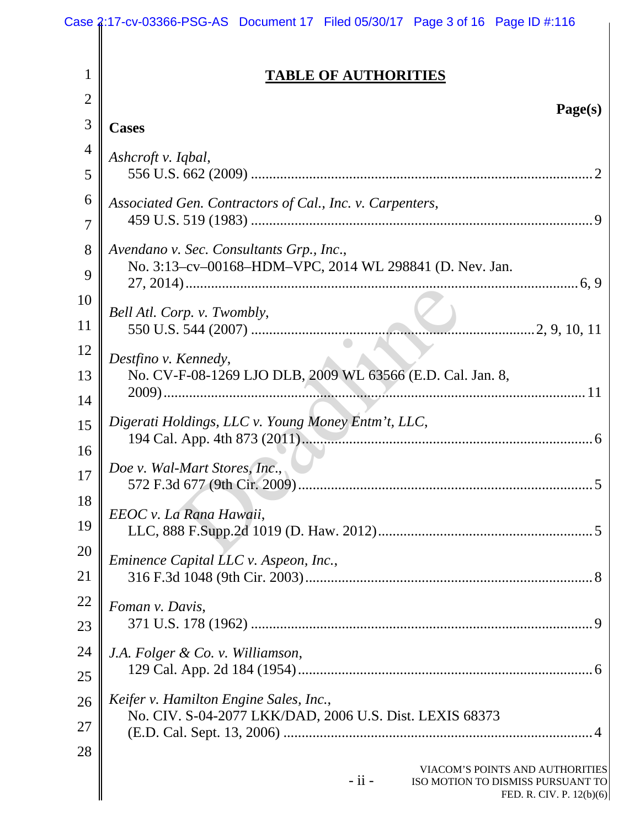|                | Case 2:17-cv-03366-PSG-AS Document 17 Filed 05/30/17 Page 3 of 16 Page ID #:116                                |  |  |
|----------------|----------------------------------------------------------------------------------------------------------------|--|--|
| 1              | <b>TABLE OF AUTHORITIES</b>                                                                                    |  |  |
| $\overline{2}$ |                                                                                                                |  |  |
| 3              | Page(s)<br><b>Cases</b>                                                                                        |  |  |
| 4              | Ashcroft v. Iqbal,                                                                                             |  |  |
| 5              |                                                                                                                |  |  |
| 6              | Associated Gen. Contractors of Cal., Inc. v. Carpenters,                                                       |  |  |
| 7              |                                                                                                                |  |  |
| 8              | Avendano v. Sec. Consultants Grp., Inc.,                                                                       |  |  |
| 9              | No. 3:13-cv-00168-HDM-VPC, 2014 WL 298841 (D. Nev. Jan.                                                        |  |  |
| 10             | Bell Atl. Corp. v. Twombly,                                                                                    |  |  |
| 11             |                                                                                                                |  |  |
| 12             | Destfino v. Kennedy,                                                                                           |  |  |
| 13             | No. CV-F-08-1269 LJO DLB, 2009 WL 63566 (E.D. Cal. Jan. 8,                                                     |  |  |
| 14             |                                                                                                                |  |  |
| 15             | Digerati Holdings, LLC v. Young Money Entm't, LLC,                                                             |  |  |
| 16             |                                                                                                                |  |  |
| 17             | Doe v. Wal-Mart Stores, Inc.,                                                                                  |  |  |
| 18             | EEOC v. La Rana Hawaii,                                                                                        |  |  |
| 19             |                                                                                                                |  |  |
| 20             | Eminence Capital LLC v. Aspeon, Inc.,                                                                          |  |  |
| 21             |                                                                                                                |  |  |
| 22             | Foman v. Davis,                                                                                                |  |  |
| 23             |                                                                                                                |  |  |
| 24             | J.A. Folger & Co. v. Williamson,                                                                               |  |  |
| 25             |                                                                                                                |  |  |
| 26             | Keifer v. Hamilton Engine Sales, Inc.,<br>No. CIV. S-04-2077 LKK/DAD, 2006 U.S. Dist. LEXIS 68373              |  |  |
| 27             |                                                                                                                |  |  |
| 28             | VIACOM'S POINTS AND AUTHORITIES<br>$-$ ii $-$<br>ISO MOTION TO DISMISS PURSUANT TO<br>FED. R. CIV. P. 12(b)(6) |  |  |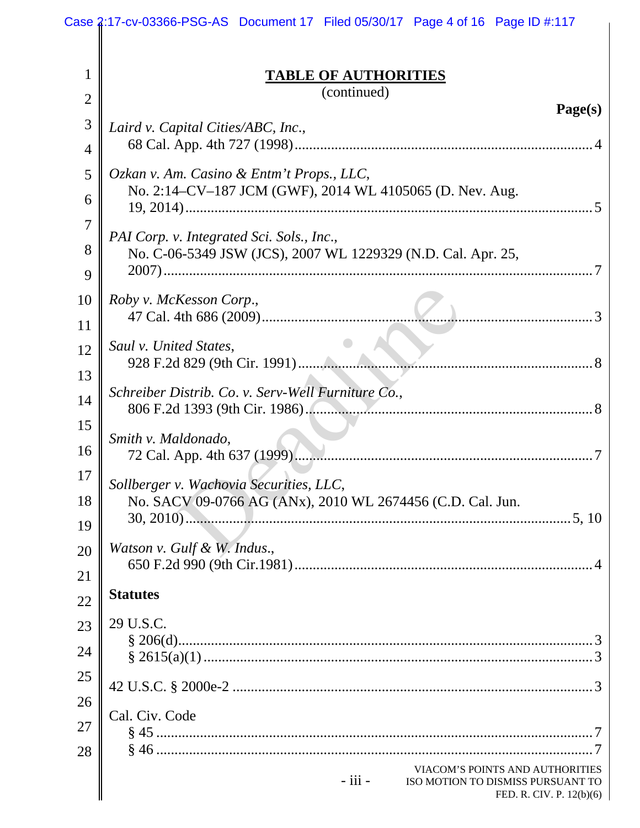|                | Case 2:17-cv-03366-PSG-AS Document 17 Filed 05/30/17 Page 4 of 16 Page ID #:117                                 |
|----------------|-----------------------------------------------------------------------------------------------------------------|
| 1              | <b>TABLE OF AUTHORITIES</b><br>(continued)                                                                      |
| $\overline{2}$ | Page(s)                                                                                                         |
| 3<br>4         | Laird v. Capital Cities/ABC, Inc.,                                                                              |
|                |                                                                                                                 |
| 5<br>6         | Ozkan v. Am. Casino & Entm't Props., LLC,<br>No. 2:14–CV–187 JCM (GWF), 2014 WL 4105065 (D. Nev. Aug.           |
| 7              |                                                                                                                 |
| 8              | PAI Corp. v. Integrated Sci. Sols., Inc.,<br>No. C-06-5349 JSW (JCS), 2007 WL 1229329 (N.D. Cal. Apr. 25,       |
| 9              |                                                                                                                 |
| 10             | Roby v. McKesson Corp.,                                                                                         |
| 11             |                                                                                                                 |
| 12             | Saul v. United States,                                                                                          |
| 13             |                                                                                                                 |
| 14             | Schreiber Distrib. Co. v. Serv-Well Furniture Co.,                                                              |
| 15             | Smith v. Maldonado,                                                                                             |
| 16             |                                                                                                                 |
| 17             | Sollberger v. Wachovia Securities, LLC,                                                                         |
| 18             | No. SACV 09-0766 AG (ANx), 2010 WL 2674456 (C.D. Cal. Jun.                                                      |
| 19             |                                                                                                                 |
| 20             | Watson v. Gulf & W. Indus.,                                                                                     |
| 21             |                                                                                                                 |
| 22             | <b>Statutes</b>                                                                                                 |
| 23             | 29 U.S.C.                                                                                                       |
| 24             |                                                                                                                 |
| 25             |                                                                                                                 |
| 26             |                                                                                                                 |
| 27             | Cal. Civ. Code                                                                                                  |
| 28             |                                                                                                                 |
|                | VIACOM'S POINTS AND AUTHORITIES<br>$-$ iii $-$<br>ISO MOTION TO DISMISS PURSUANT TO<br>FED. R. CIV. P. 12(b)(6) |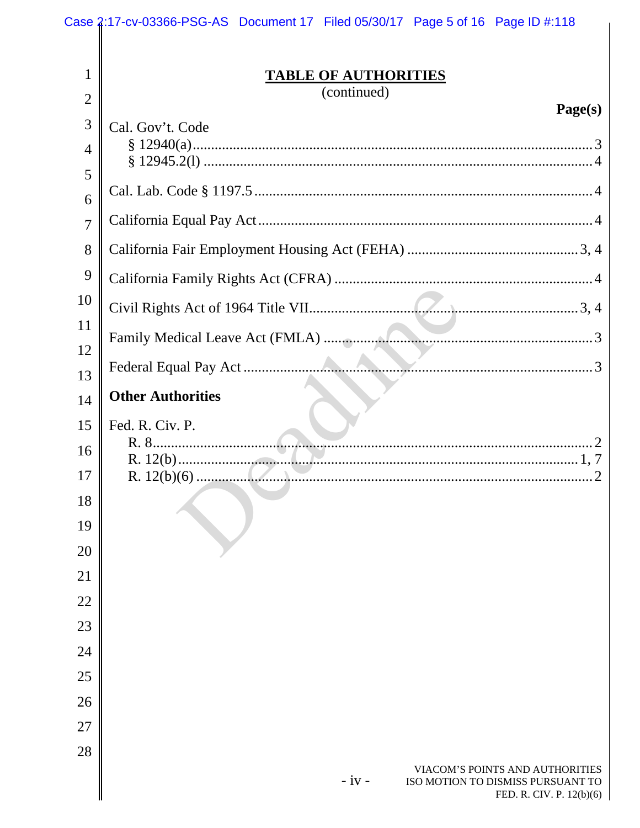|                                | Case 2:17-cv-03366-PSG-AS Document 17 Filed 05/30/17 Page 5 of 16 Page ID #:118                             |
|--------------------------------|-------------------------------------------------------------------------------------------------------------|
| $\mathbf{1}$<br>$\overline{2}$ | <b>TABLE OF AUTHORITIES</b><br>(continued)                                                                  |
|                                | Page(s)                                                                                                     |
| 3                              | Cal. Gov't. Code                                                                                            |
| 4                              |                                                                                                             |
| 5                              |                                                                                                             |
| 6<br>7                         |                                                                                                             |
| 8                              |                                                                                                             |
| 9                              |                                                                                                             |
| 10                             |                                                                                                             |
| 11                             |                                                                                                             |
| 12                             |                                                                                                             |
| 13                             |                                                                                                             |
| 14                             | <b>Other Authorities</b>                                                                                    |
| 15                             | Fed. R. Civ. P.                                                                                             |
| 16                             |                                                                                                             |
| 17                             | R. $12(b)(6)$<br>2                                                                                          |
| 18                             |                                                                                                             |
| 19                             |                                                                                                             |
| 20                             |                                                                                                             |
| 21                             |                                                                                                             |
| 22                             |                                                                                                             |
| 23                             |                                                                                                             |
| 24                             |                                                                                                             |
| 25                             |                                                                                                             |
| 26                             |                                                                                                             |
| 27                             |                                                                                                             |
| 28                             | VIACOM'S POINTS AND AUTHORITIES<br>$-iv -$<br>ISO MOTION TO DISMISS PURSUANT TO<br>FED. R. CIV. P. 12(b)(6) |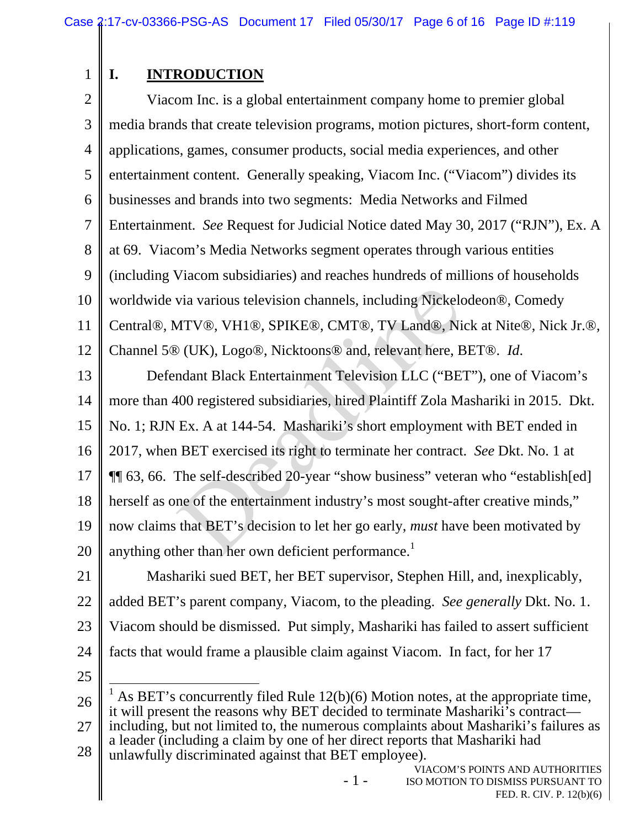1

# **I. INTRODUCTION**

2 3 4 5 6 7 8 9 10 11 12 Viacom Inc. is a global entertainment company home to premier global media brands that create television programs, motion pictures, short-form content, applications, games, consumer products, social media experiences, and other entertainment content. Generally speaking, Viacom Inc. ("Viacom") divides its businesses and brands into two segments: Media Networks and Filmed Entertainment. *See* Request for Judicial Notice dated May 30, 2017 ("RJN"), Ex. A at 69. Viacom's Media Networks segment operates through various entities (including Viacom subsidiaries) and reaches hundreds of millions of households worldwide via various television channels, including Nickelodeon®, Comedy Central®, MTV®, VH1®, SPIKE®, CMT®, TV Land®, Nick at Nite®, Nick Jr.®, Channel 5® (UK), Logo®, Nicktoons® and, relevant here, BET®. *Id*.

13 14 15 16 17 18 19 20 Defendant Black Entertainment Television LLC ("BET"), one of Viacom's more than 400 registered subsidiaries, hired Plaintiff Zola Mashariki in 2015. Dkt. No. 1; RJN Ex. A at 144-54. Mashariki's short employment with BET ended in 2017, when BET exercised its right to terminate her contract. *See* Dkt. No. 1 at ¶¶ 63, 66. The self-described 20-year "show business" veteran who "establish[ed] herself as one of the entertainment industry's most sought-after creative minds," now claims that BET's decision to let her go early, *must* have been motivated by anything other than her own deficient performance.<sup>1</sup> via various television channels, including Nickeld<br>ATV®, VH1®, SPIKE®, CMT®, TV Land®, Ni<br>
> (UK), Logo®, Nicktoons® and, relevant here, E<br>
ndant Black Entertainment Television LLC ("BE"<br>
400 registered subsidiaries, hired

21 22 23 24 Mashariki sued BET, her BET supervisor, Stephen Hill, and, inexplicably, added BET's parent company, Viacom, to the pleading. *See generally* Dkt. No. 1. Viacom should be dismissed. Put simply, Mashariki has failed to assert sufficient facts that would frame a plausible claim against Viacom. In fact, for her 17

25

26 27 28  $\overline{a}$ 1 As BET's concurrently filed Rule 12(b)(6) Motion notes, at the appropriate time, it will present the reasons why BET decided to terminate Mashariki's contract including, but not limited to, the numerous complaints about Mashariki's failures as a leader (including a claim by one of her direct reports that Mashariki had unlawfully discriminated against that BET employee).

- 1 -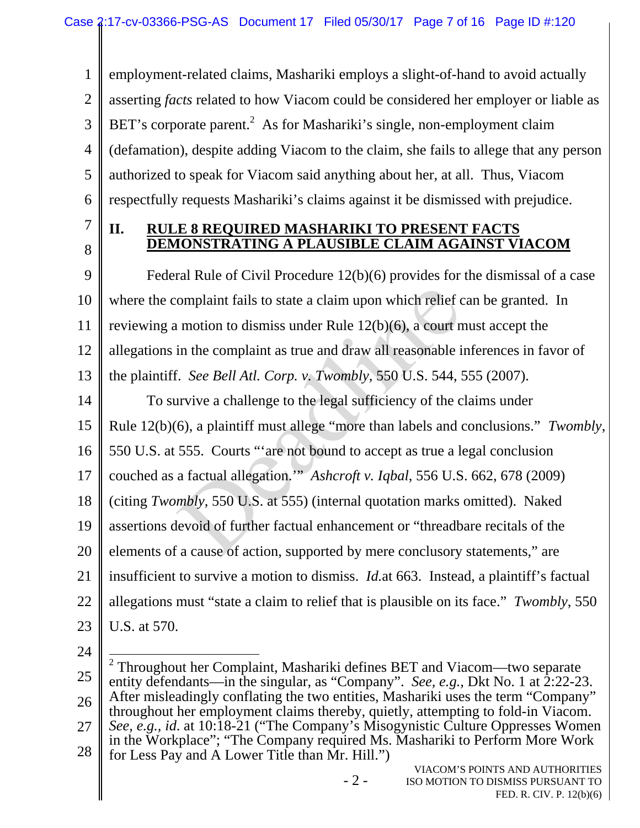1 2 3 4 5 6 employment-related claims, Mashariki employs a slight-of-hand to avoid actually asserting *facts* related to how Viacom could be considered her employer or liable as BET's corporate parent.<sup>2</sup> As for Mashariki's single, non-employment claim (defamation), despite adding Viacom to the claim, she fails to allege that any person authorized to speak for Viacom said anything about her, at all. Thus, Viacom respectfully requests Mashariki's claims against it be dismissed with prejudice.

7

8

## **II. RULE 8 REQUIRED MASHARIKI TO PRESENT FACTS DEMONSTRATING A PLAUSIBLE CLAIM AGAINST VIACOM**

9 10 11 12 13 Federal Rule of Civil Procedure 12(b)(6) provides for the dismissal of a case where the complaint fails to state a claim upon which relief can be granted. In reviewing a motion to dismiss under Rule 12(b)(6), a court must accept the allegations in the complaint as true and draw all reasonable inferences in favor of the plaintiff. *See Bell Atl. Corp. v. Twombly*, 550 U.S. 544, 555 (2007). omplaint fails to state a claim upon which relief c<br>
in motion to dismiss under Rule  $12(b)(6)$ , a court n<br>
in the complaint as true and draw all reasonable i<br>
i. See Bell Atl. Corp. v. Twombly, 550 U.S. 544, t<br>
in the comp

14 15 To survive a challenge to the legal sufficiency of the claims under Rule 12(b)(6), a plaintiff must allege "more than labels and conclusions." *Twombly*,

16 550 U.S. at 555. Courts "'are not bound to accept as true a legal conclusion

17 couched as a factual allegation.'" *Ashcroft v. Iqbal*, 556 U.S. 662, 678 (2009)

18 (citing *Twombly*, 550 U.S. at 555) (internal quotation marks omitted). Naked

19 assertions devoid of further factual enhancement or "threadbare recitals of the

20 elements of a cause of action, supported by mere conclusory statements," are

21 insufficient to survive a motion to dismiss. *Id.*at 663. Instead, a plaintiff's factual

- 22 allegations must "state a claim to relief that is plausible on its face." *Twombly*, 550
- 23 U.S. at 570.
- 24

- 2 -

<sup>25</sup>  26 27 28  $\overline{a}$ 2 Throughout her Complaint, Mashariki defines BET and Viacom—two separate entity defendants—in the singular, as "Company". *See, e.g.*, Dkt No. 1 at 2:22-23. After misleadingly conflating the two entities, Mashariki uses the term "Company" throughout her employment claims thereby, quietly, attempting to fold-in Viacom. *See, e.g., id*. at 10:18-21 ("The Company's Misogynistic Culture Oppresses Women in the Workplace"; "The Company required Ms. Mashariki to Perform More Work for Less Pay and A Lower Title than Mr. Hill.")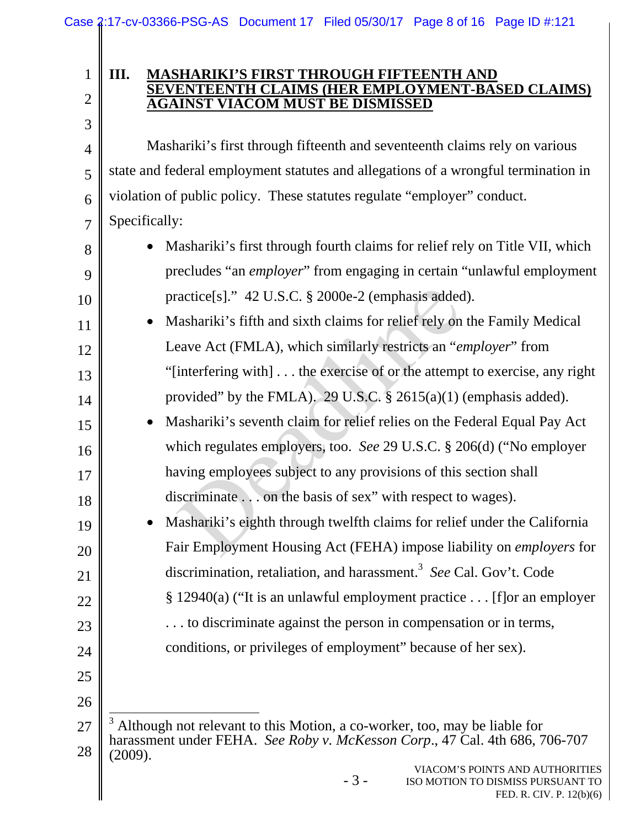# 2

3

4

5

6

7

8

9

10

15

16

17

18

19

20

21

22

23

24

1

#### **III. MASHARIKI'S FIRST THROUGH FIFTEENTH AND SEVENTEENTH CLAIMS (HER EMPLOYMENT-BASED CLAIMS) AGAINST VIACOM MUST BE DISMISSED**

Mashariki's first through fifteenth and seventeenth claims rely on various state and federal employment statutes and allegations of a wrongful termination in violation of public policy. These statutes regulate "employer" conduct. Specifically:

- Mashariki's first through fourth claims for relief rely on Title VII, which precludes "an *employer*" from engaging in certain "unlawful employment practice[s]." 42 U.S.C. § 2000e-2 (emphasis added).
- 11 12 13 14 • Mashariki's fifth and sixth claims for relief rely on the Family Medical Leave Act (FMLA), which similarly restricts an "*employer*" from "[interfering with] . . . the exercise of or the attempt to exercise, any right provided" by the FMLA). 29 U.S.C. § 2615(a)(1) (emphasis added).
- Mashariki's seventh claim for relief relies on the Federal Equal Pay Act which regulates employers, too. *See* 29 U.S.C. § 206(d) ("No employer having employees subject to any provisions of this section shall discriminate . . . on the basis of sex" with respect to wages). ractice[s]." 42 U.S.C. § 2000e-2 (emphasis added<br>
Iashariki's fifth and sixth claims for relief rely on<br>
eave Act (FMLA), which similarly restricts an "enterfering with]... the exercise of or the attemp<br>
ovided" by the FM
	- Mashariki's eighth through twelfth claims for relief under the California Fair Employment Housing Act (FEHA) impose liability on *employers* for discrimination, retaliation, and harassment.<sup>3</sup> See Cal. Gov't. Code § 12940(a) ("It is an unlawful employment practice . . . [f]or an employer
		- . . . to discriminate against the person in compensation or in terms,
		- conditions, or privileges of employment" because of her sex).
- 25 26

- 3 -

<sup>27</sup>  28  $\overline{a}$ 3 Although not relevant to this Motion, a co-worker, too, may be liable for harassment under FEHA. *See Roby v. McKesson Corp*., 47 Cal. 4th 686, 706-707 (2009).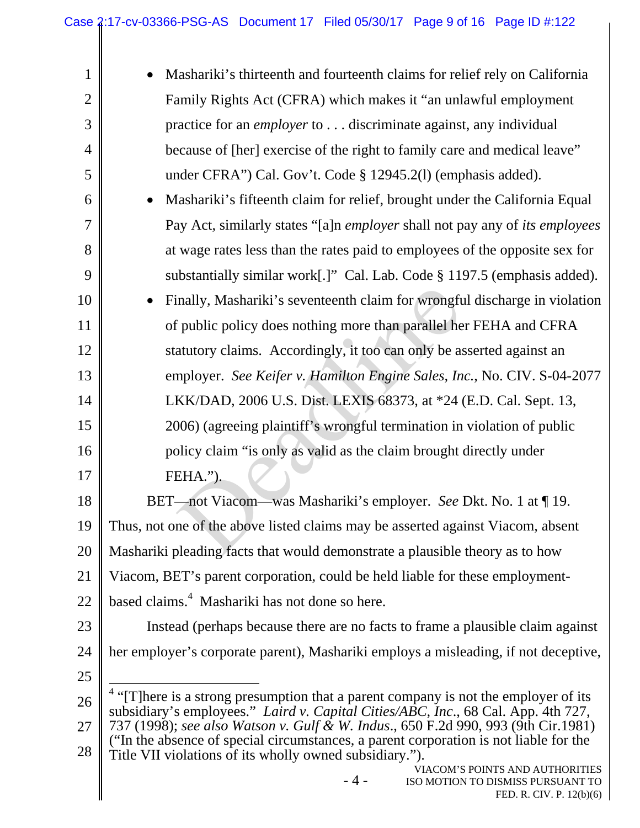| $\mathbf{1}$   | Mashariki's thirteenth and fourteenth claims for relief rely on California                                                                                                          |  |  |
|----------------|-------------------------------------------------------------------------------------------------------------------------------------------------------------------------------------|--|--|
| $\overline{2}$ | Family Rights Act (CFRA) which makes it "an unlawful employment                                                                                                                     |  |  |
| 3              | practice for an <i>employer</i> to discriminate against, any individual                                                                                                             |  |  |
| $\overline{4}$ | because of [her] exercise of the right to family care and medical leave"                                                                                                            |  |  |
| 5              | under CFRA") Cal. Gov't. Code § 12945.2(1) (emphasis added).                                                                                                                        |  |  |
| 6              | Mashariki's fifteenth claim for relief, brought under the California Equal                                                                                                          |  |  |
| 7              | Pay Act, similarly states "[a]n employer shall not pay any of its employees                                                                                                         |  |  |
| 8              | at wage rates less than the rates paid to employees of the opposite sex for                                                                                                         |  |  |
| 9              | substantially similar work[.]" Cal. Lab. Code § 1197.5 (emphasis added).                                                                                                            |  |  |
| 10             | Finally, Mashariki's seventeenth claim for wrongful discharge in violation                                                                                                          |  |  |
| 11             | of public policy does nothing more than parallel her FEHA and CFRA                                                                                                                  |  |  |
| 12             | statutory claims. Accordingly, it too can only be asserted against an                                                                                                               |  |  |
| 13             | employer. See Keifer v. Hamilton Engine Sales, Inc., No. CIV. S-04-2077                                                                                                             |  |  |
| 14             | LKK/DAD, 2006 U.S. Dist. LEXIS 68373, at *24 (E.D. Cal. Sept. 13,                                                                                                                   |  |  |
| 15             | 2006) (agreeing plaintiff's wrongful termination in violation of public                                                                                                             |  |  |
| 16             | policy claim "is only as valid as the claim brought directly under                                                                                                                  |  |  |
| 17             | FEHA.").                                                                                                                                                                            |  |  |
| 18             | BET—not Viacom—was Mashariki's employer. See Dkt. No. 1 at ¶ 19.                                                                                                                    |  |  |
| 19             | Thus, not one of the above listed claims may be asserted against Viacom, absent                                                                                                     |  |  |
| 20             | Mashariki pleading facts that would demonstrate a plausible theory as to how                                                                                                        |  |  |
| 21             | Viacom, BET's parent corporation, could be held liable for these employment-                                                                                                        |  |  |
| 22             | based claims. <sup>4</sup> Mashariki has not done so here.                                                                                                                          |  |  |
| 23             | Instead (perhaps because there are no facts to frame a plausible claim against                                                                                                      |  |  |
| 24             | her employer's corporate parent), Mashariki employs a misleading, if not deceptive,                                                                                                 |  |  |
| 25             |                                                                                                                                                                                     |  |  |
| 26             | <sup>4</sup> "[T]here is a strong presumption that a parent company is not the employer of its<br>subsidiary's employees." Laird v. Capital Cities/ABC, Inc., 68 Cal. App. 4th 727, |  |  |
| 27             | 737 (1998); see also Watson v. Gulf & W. Indus., 650 F.2d 990, 993 (9th Cir.1981)<br>("In the absence of special circumstances, a parent corporation is not liable for the          |  |  |
| 28             | Title VII violations of its wholly owned subsidiary.").                                                                                                                             |  |  |
|                | VIACOM'S POINTS AND AUTHORITIES<br>$-4-$<br>ISO MOTION TO DISMISS PURSUANT TO<br>FED. R. CIV. P. 12(b)(6)                                                                           |  |  |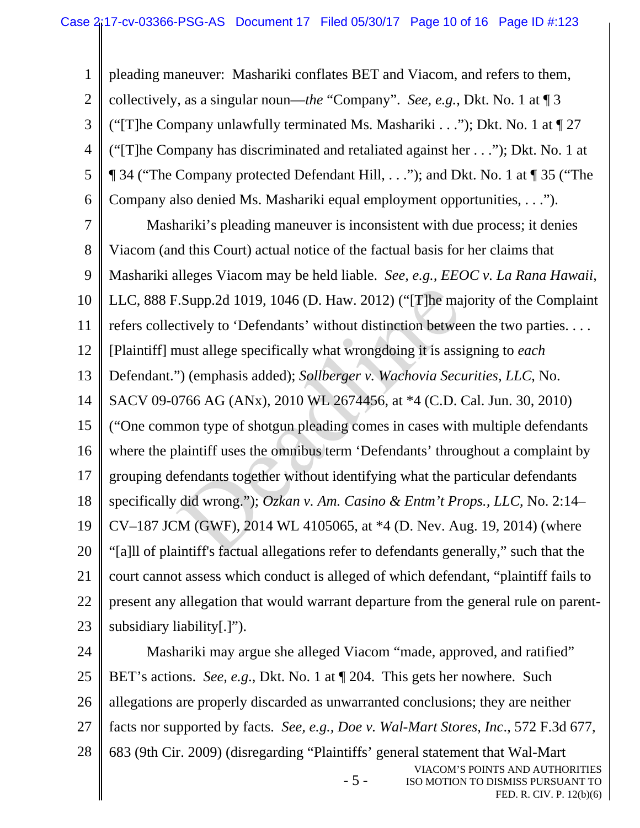1 2 3 4 5 6 7 8 9 10 11 12 13 14 15 16 17 18 19 20 21 22 23 pleading maneuver: Mashariki conflates BET and Viacom, and refers to them, collectively, as a singular noun—*the* "Company". *See, e.g.,* Dkt. No. 1 at ¶ 3 ("The Company unlawfully terminated Ms. Mashariki . . ."); Dkt. No. 1 at  $\P$  27 ("[T]he Company has discriminated and retaliated against her . . ."); Dkt. No. 1 at ¶ 34 ("The Company protected Defendant Hill, . . ."); and Dkt. No. 1 at ¶ 35 ("The Company also denied Ms. Mashariki equal employment opportunities, . . ."). Mashariki's pleading maneuver is inconsistent with due process; it denies Viacom (and this Court) actual notice of the factual basis for her claims that Mashariki alleges Viacom may be held liable. *See, e.g., EEOC v. La Rana Hawaii*, LLC, 888 F.Supp.2d 1019, 1046 (D. Haw. 2012) ("[T]he majority of the Complaint refers collectively to 'Defendants' without distinction between the two parties. . . . [Plaintiff] must allege specifically what wrongdoing it is assigning to *each* Defendant.") (emphasis added); *Sollberger v. Wachovia Securities, LLC*, No. SACV 09-0766 AG (ANx), 2010 WL 2674456, at \*4 (C.D. Cal. Jun. 30, 2010) ("One common type of shotgun pleading comes in cases with multiple defendants where the plaintiff uses the omnibus term 'Defendants' throughout a complaint by grouping defendants together without identifying what the particular defendants specifically did wrong."); *Ozkan v. Am. Casino & Entm't Props., LLC*, No. 2:14– CV–187 JCM (GWF), 2014 WL 4105065, at \*4 (D. Nev. Aug. 19, 2014) (where "[a]ll of plaintiff's factual allegations refer to defendants generally," such that the court cannot assess which conduct is alleged of which defendant, "plaintiff fails to present any allegation that would warrant departure from the general rule on parentsubsidiary liability[.]"). E.Supp.2d 1019, 1046 (D. Haw. 2012) ("[T]he matrively to 'Defendants' without distinction between the set of the must allege specifically what wrongdoing it is assi<br>
") (emphasis added); *Sollberger v. Wachovia Secu*<br>
776

- 5 - VIACOM'S POINTS AND AUTHORITIES ISO MOTION TO DISMISS PURSUANT TO 24 25 26 27 28 Mashariki may argue she alleged Viacom "made, approved, and ratified" BET's actions. *See, e.g*., Dkt. No. 1 at ¶ 204. This gets her nowhere. Such allegations are properly discarded as unwarranted conclusions; they are neither facts nor supported by facts. *See, e.g., Doe v. Wal-Mart Stores, Inc*., 572 F.3d 677, 683 (9th Cir. 2009) (disregarding "Plaintiffs' general statement that Wal-Mart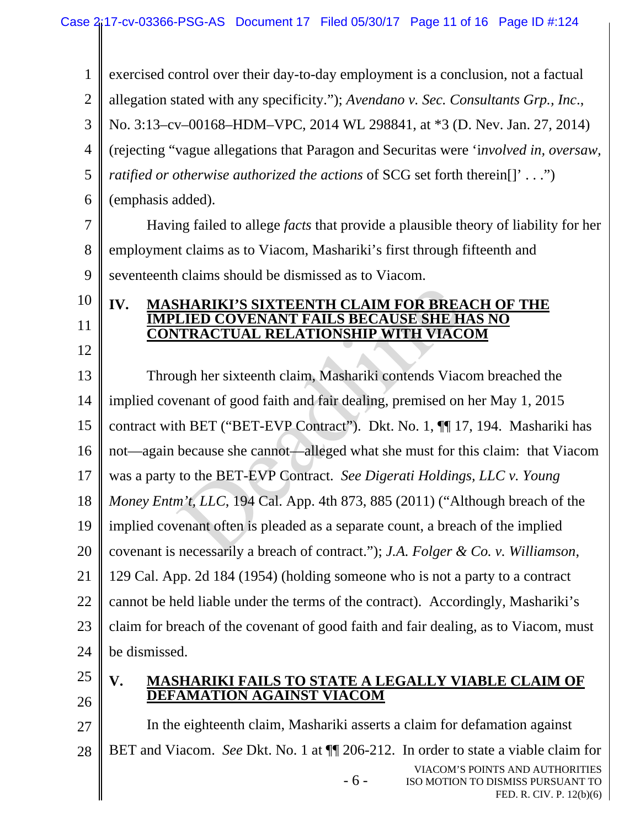| $\mathbf{1}$   | exercised control over their day-to-day employment is a conclusion, not a factual         |  |
|----------------|-------------------------------------------------------------------------------------------|--|
| $\overline{2}$ | allegation stated with any specificity."); Avendano v. Sec. Consultants Grp., Inc.,       |  |
| 3              | No. 3:13-cv-00168-HDM-VPC, 2014 WL 298841, at *3 (D. Nev. Jan. 27, 2014)                  |  |
| 4              | (rejecting "vague allegations that Paragon and Securitas were 'involved in, oversaw,      |  |
| 5              | ratified or otherwise authorized the actions of SCG set forth therein[]' ")               |  |
| 6              | (emphasis added).                                                                         |  |
| 7              | Having failed to allege <i>facts</i> that provide a plausible theory of liability for her |  |
| 8              | employment claims as to Viacom, Mashariki's first through fifteenth and                   |  |
| 9              | seventeenth claims should be dismissed as to Viacom.                                      |  |
| 10             | <b>MASHARIKI'S SIXTEENTH CLAIM FOR BREACH OF THE</b><br>IV.                               |  |
| 11             | <b>COVENANT FAILS BECAUSE SHE HAS NO</b><br><b>CONTRACTUAL RELATIONSHIP WITH VIACOM</b>   |  |
| 12             |                                                                                           |  |
| 13             | Through her sixteenth claim, Mashariki contends Viacom breached the                       |  |
| 14             | implied covenant of good faith and fair dealing, premised on her May 1, 2015              |  |
| 15             | contract with BET ("BET-EVP Contract"). Dkt. No. 1, [[1] 17, 194. Mashariki has           |  |
| 16             | not—again because she cannot—alleged what she must for this claim: that Viacom            |  |
| 17             | was a party to the BET-EVP Contract. See Digerati Holdings, LLC v. Young                  |  |
| 18             | Money Entm't, LLC, 194 Cal. App. 4th 873, 885 (2011) ("Although breach of the             |  |
| 19             | implied covenant often is pleaded as a separate count, a breach of the implied            |  |
| 20             | covenant is necessarily a breach of contract."); J.A. Folger & Co. v. Williamson,         |  |
| 21             | 129 Cal. App. 2d 184 (1954) (holding someone who is not a party to a contract             |  |
| 22             | cannot be held liable under the terms of the contract). Accordingly, Mashariki's          |  |
| 23             | claim for breach of the covenant of good faith and fair dealing, as to Viacom, must       |  |
| 24             | be dismissed.                                                                             |  |
| 25             | V.<br><b>MASHARIKI FAILS TO STATE A LEGALLY VIABLE CLAIM OF</b>                           |  |
| 26             | <b>DEFAMATION AGAINST VIACOM</b>                                                          |  |
| 27             | In the eighteenth claim, Mashariki asserts a claim for defamation against                 |  |

28 BET and Viacom. *See* Dkt. No. 1 at ¶¶ 206-212. In order to state a viable claim for

- 6 -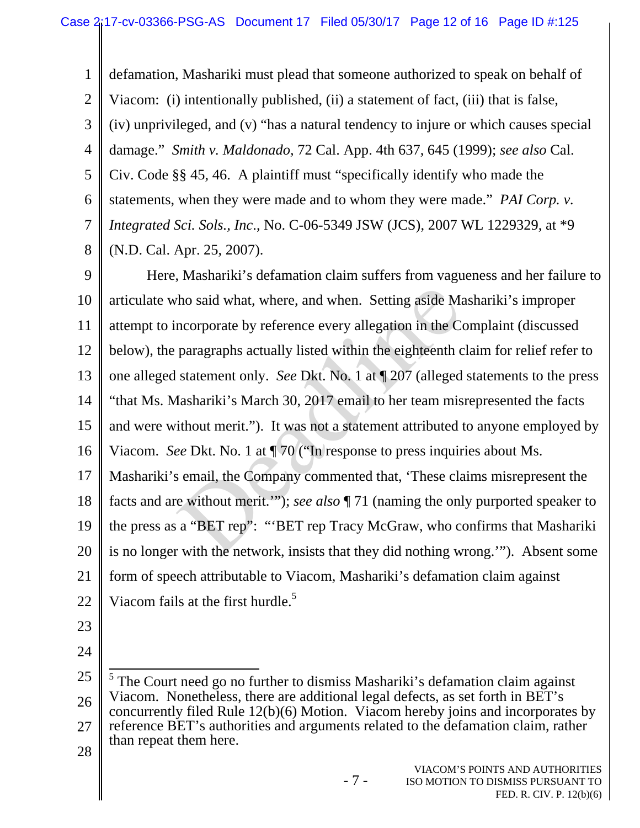1 2 3 4 5 6 7 8 defamation, Mashariki must plead that someone authorized to speak on behalf of Viacom: (i) intentionally published, (ii) a statement of fact, (iii) that is false, (iv) unprivileged, and (v) "has a natural tendency to injure or which causes special damage." *Smith v. Maldonado,* 72 Cal. App. 4th 637, 645 (1999); *see also* Cal. Civ. Code §§ 45, 46. A plaintiff must "specifically identify who made the statements, when they were made and to whom they were made." *PAI Corp. v. Integrated Sci. Sols., Inc*., No. C-06-5349 JSW (JCS), 2007 WL 1229329, at \*9 (N.D. Cal. Apr. 25, 2007).

9 10 11 12 13 14 15 16 17 Here, Mashariki's defamation claim suffers from vagueness and her failure to articulate who said what, where, and when. Setting aside Mashariki's improper attempt to incorporate by reference every allegation in the Complaint (discussed below), the paragraphs actually listed within the eighteenth claim for relief refer to one alleged statement only. *See* Dkt. No. 1 at ¶ 207 (alleged statements to the press "that Ms. Mashariki's March 30, 2017 email to her team misrepresented the facts and were without merit."). It was not a statement attributed to anyone employed by Viacom. *See* Dkt. No. 1 at ¶ 70 ("In response to press inquiries about Ms. Mashariki's email, the Company commented that, 'These claims misrepresent the tho said what, where, and when. Setting aside Mancorporate by reference every allegation in the Convergangaphs actually listed within the eighteenth c statement only. *See* Dkt. No. 1 at  $\sqrt{207}$  (alleged Iashariki's Mar

18 19 20 21 22 facts and are without merit.'"); *see also* ¶ 71 (naming the only purported speaker to the press as a "BET rep": "'BET rep Tracy McGraw, who confirms that Mashariki is no longer with the network, insists that they did nothing wrong.'"). Absent some form of speech attributable to Viacom, Mashariki's defamation claim against Viacom fails at the first hurdle.<sup>5</sup>

- 23
- 24

- 7 -

VIACOM'S POINTS AND AUTHORITIES ISO MOTION TO DISMISS PURSUANT TO FED. R. CIV. P. 12(b)(6)

<sup>25</sup>  26 27 28 <sup>5</sup> The Court need go no further to dismiss Mashariki's defamation claim against Viacom. Nonetheless, there are additional legal defects, as set forth in BET's concurrently filed Rule 12(b)(6) Motion. Viacom hereby joins and incorporates by reference BET's authorities and arguments related to the defamation claim, rather than repeat them here.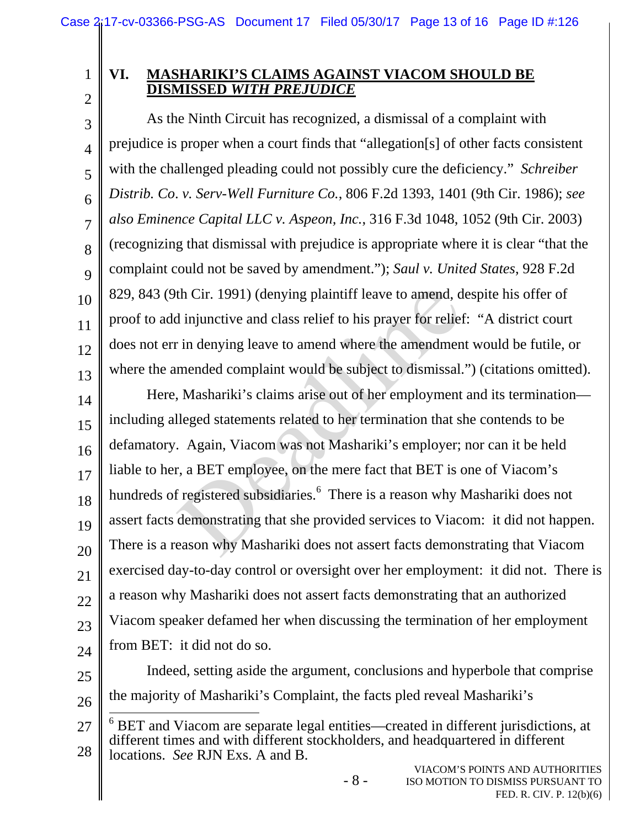1 2

8

9

# **VI. MASHARIKI'S CLAIMS AGAINST VIACOM SHOULD BE DISMISSED** *WITH PREJUDICE*

3 4 5 6 7 10 11 12 13 As the Ninth Circuit has recognized, a dismissal of a complaint with prejudice is proper when a court finds that "allegation[s] of other facts consistent with the challenged pleading could not possibly cure the deficiency." *Schreiber Distrib. Co*. *v. Serv-Well Furniture Co.*, 806 F.2d 1393, 1401 (9th Cir. 1986); *see also Eminence Capital LLC v. Aspeon, Inc.*, 316 F.3d 1048, 1052 (9th Cir. 2003) (recognizing that dismissal with prejudice is appropriate where it is clear "that the complaint could not be saved by amendment."); *Saul v. United States*, 928 F.2d 829, 843 (9th Cir. 1991) (denying plaintiff leave to amend, despite his offer of proof to add injunctive and class relief to his prayer for relief: "A district court does not err in denying leave to amend where the amendment would be futile, or where the amended complaint would be subject to dismissal.") (citations omitted).

14 15 16 17 18 19 20 21 22 23 24 Here, Mashariki's claims arise out of her employment and its termination including alleged statements related to her termination that she contends to be defamatory. Again, Viacom was not Mashariki's employer; nor can it be held liable to her, a BET employee, on the mere fact that BET is one of Viacom's hundreds of registered subsidiaries.<sup>6</sup> There is a reason why Mashariki does not assert facts demonstrating that she provided services to Viacom: it did not happen. There is a reason why Mashariki does not assert facts demonstrating that Viacom exercised day-to-day control or oversight over her employment: it did not. There is a reason why Mashariki does not assert facts demonstrating that an authorized Viacom speaker defamed her when discussing the termination of her employment from BET: it did not do so. th Cir. 1991) (denying plaintiff leave to amend, d<br>
i nijunctive and class relief to his prayer for relief<br>
in denying leave to amend where the amendmen<br>
mended complaint would be subject to dismissal.<br>
Mashariki's claims

- 25
- 26

Indeed, setting aside the argument, conclusions and hyperbole that comprise the majority of Mashariki's Complaint, the facts pled reveal Mashariki's

27 28  $\overline{\phantom{a}}$ 6 BET and Viacom are separate legal entities—created in different jurisdictions, at different times and with different stockholders, and headquartered in different locations. *See* RJN Exs. A and B.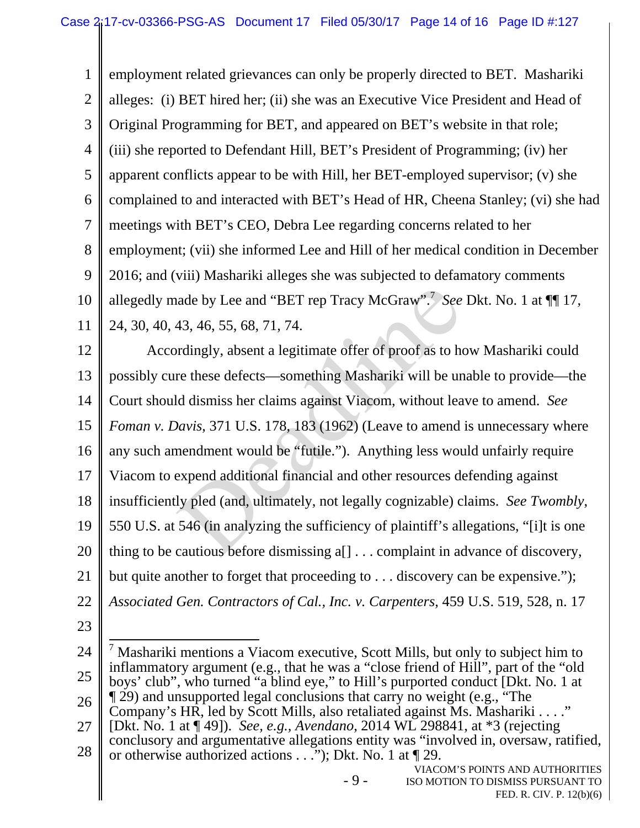1 2 3 4 5 6 7 8 9 10 11 employment related grievances can only be properly directed to BET. Mashariki alleges: (i) BET hired her; (ii) she was an Executive Vice President and Head of Original Programming for BET, and appeared on BET's website in that role; (iii) she reported to Defendant Hill, BET's President of Programming; (iv) her apparent conflicts appear to be with Hill, her BET-employed supervisor; (v) she complained to and interacted with BET's Head of HR, Cheena Stanley; (vi) she had meetings with BET's CEO, Debra Lee regarding concerns related to her employment; (vii) she informed Lee and Hill of her medical condition in December 2016; and (viii) Mashariki alleges she was subjected to defamatory comments allegedly made by Lee and "BET rep Tracy McGraw".<sup>7</sup> See Dkt. No. 1 at  $\P\P$  17, 24, 30, 40, 43, 46, 55, 68, 71, 74.

12 13 14 15 16 17 18 19 20 21 22 Accordingly, absent a legitimate offer of proof as to how Mashariki could possibly cure these defects—something Mashariki will be unable to provide—the Court should dismiss her claims against Viacom, without leave to amend. *See Foman v. Davis*, 371 U.S. 178, 183 (1962) (Leave to amend is unnecessary where any such amendment would be "futile."). Anything less would unfairly require Viacom to expend additional financial and other resources defending against insufficiently pled (and, ultimately, not legally cognizable) claims. *See Twombly*, 550 U.S. at 546 (in analyzing the sufficiency of plaintiff's allegations, "[i]t is one thing to be cautious before dismissing a[] . . . complaint in advance of discovery, but quite another to forget that proceeding to . . . discovery can be expensive."); *Associated Gen. Contractors of Cal., Inc. v. Carpenters*, 459 U.S. 519, 528, n. 17 ade by Lee and "BET rep Tracy McGraw".<sup>7</sup> See<br>43, 46, 55, 68, 71, 74.<br>ardingly, absent a legitimate offer of proof as to he<br>re these defects—something Mashariki will be und<br>d dismiss her claims against Viacom, without lea

23

- 9 -

<sup>24</sup>  25 26 27 28 <sup>7</sup> Mashariki mentions a Viacom executive, Scott Mills, but only to subject him to inflammatory argument (e.g., that he was a "close friend of Hill", part of the "old boys' club", who turned "a blind eye," to Hill's purported conduct [Dkt. No. 1 at ¶ 29) and unsupported legal conclusions that carry no weight (e.g., "The Company's HR, led by Scott Mills, also retaliated against Ms. Mashariki . . . ." [Dkt. No. 1 at ¶ 49]). *See, e.g., Avendano*, 2014 WL 298841, at \*3 (rejecting conclusory and argumentative allegations entity was "involved in, oversaw, ratified, or otherwise authorized actions . . ."); Dkt. No. 1 at ¶ 29.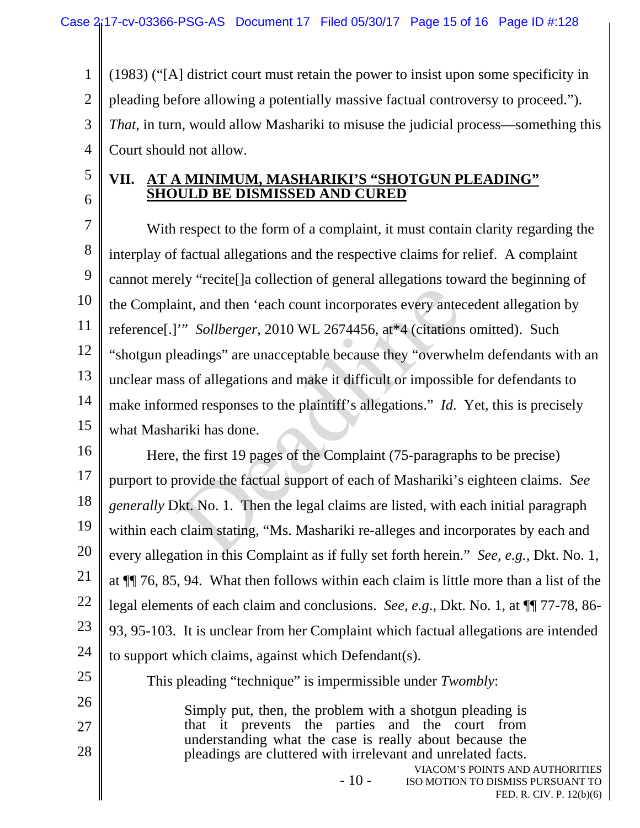1 2 3 4 (1983) ("[A] district court must retain the power to insist upon some specificity in pleading before allowing a potentially massive factual controversy to proceed."). *That*, in turn, would allow Mashariki to misuse the judicial process—something this Court should not allow.

5 6

25

26

27

28

### **VII. AT A MINIMUM, MASHARIKI'S "SHOTGUN PLEADING" SHOULD BE DISMISSED AND CURED**

7 8 9 10 11 12 13 14 15 With respect to the form of a complaint, it must contain clarity regarding the interplay of factual allegations and the respective claims for relief. A complaint cannot merely "recite[]a collection of general allegations toward the beginning of the Complaint, and then 'each count incorporates every antecedent allegation by reference[.]'" *Sollberger*, 2010 WL 2674456, at\*4 (citations omitted). Such "shotgun pleadings" are unacceptable because they "overwhelm defendants with an unclear mass of allegations and make it difficult or impossible for defendants to make informed responses to the plaintiff's allegations." *Id*. Yet, this is precisely what Mashariki has done. int, and then 'each count incorporates every anted<br>
"Sollberger, 2010 WL 2674456, at\*4 (citations<br>
eadings" are unacceptable because they "overwhow<br>
so of allegations and make it difficult or impossib<br>
med responses to th

16 17 18 19 20 21 22 23 24 Here, the first 19 pages of the Complaint (75-paragraphs to be precise) purport to provide the factual support of each of Mashariki's eighteen claims. *See generally* Dkt. No. 1. Then the legal claims are listed, with each initial paragraph within each claim stating, "Ms. Mashariki re-alleges and incorporates by each and every allegation in this Complaint as if fully set forth herein." *See, e.g.,* Dkt. No. 1, at ¶¶ 76, 85, 94. What then follows within each claim is little more than a list of the legal elements of each claim and conclusions. *See, e.g*., Dkt. No. 1, at ¶¶ 77-78, 86- 93, 95-103. It is unclear from her Complaint which factual allegations are intended to support which claims, against which Defendant(s).

This pleading "technique" is impermissible under *Twombly*:

Simply put, then, the problem with a shotgun pleading is that it prevents the parties and the court from understanding what the case is really about because the pleadings are cluttered with irrelevant and unrelated facts.

 $-10-$ 

VIACOM'S POINTS AND AUTHORITIES